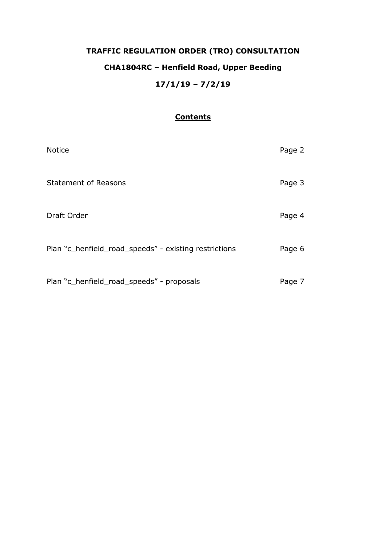# **TRAFFIC REGULATION ORDER (TRO) CONSULTATION CHA1804RC – Henfield Road, Upper Beeding 17/1/19 – 7/2/19**

## **Contents**

| <b>Notice</b>                                         | Page 2 |
|-------------------------------------------------------|--------|
| <b>Statement of Reasons</b>                           | Page 3 |
| Draft Order                                           | Page 4 |
| Plan "c_henfield_road_speeds" - existing restrictions | Page 6 |
| Plan "c_henfield_road_speeds" - proposals             | Page 7 |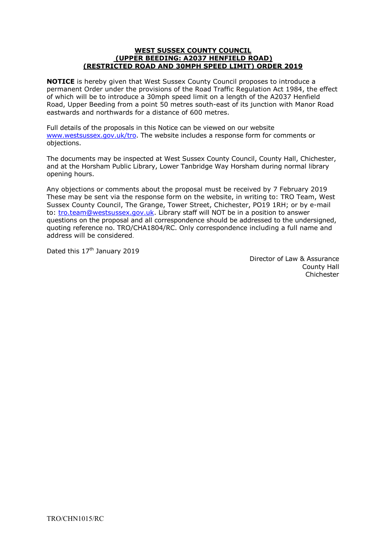#### **WEST SUSSEX COUNTY COUNCIL (UPPER BEEDING: A2037 HENFIELD ROAD) (RESTRICTED ROAD AND 30MPH SPEED LIMIT) ORDER 2019**

**NOTICE** is hereby given that West Sussex County Council proposes to introduce a permanent Order under the provisions of the Road Traffic Regulation Act 1984, the effect of which will be to introduce a 30mph speed limit on a length of the A2037 Henfield Road, Upper Beeding from a point 50 metres south-east of its junction with Manor Road eastwards and northwards for a distance of 600 metres.

Full details of the proposals in this Notice can be viewed on our website [www.westsussex.gov.uk/tro.](http://www.westsussex.gov.uk/tro) The website includes a response form for comments or objections.

The documents may be inspected at West Sussex County Council, County Hall, Chichester, and at the Horsham Public Library, Lower Tanbridge Way Horsham during normal library opening hours.

Any objections or comments about the proposal must be received by 7 February 2019 These may be sent via the response form on the website, in writing to: TRO Team, West Sussex County Council, The Grange, Tower Street, Chichester, PO19 1RH; or by e-mail to: [tro.team@westsussex.gov.uk.](mailto:tro.team@westsussex.gov.uk) Library staff will NOT be in a position to answer questions on the proposal and all correspondence should be addressed to the undersigned, quoting reference no. TRO/CHA1804/RC. Only correspondence including a full name and address will be considered.

Dated this 17<sup>th</sup> January 2019

 Director of Law & Assurance County Hall Chichester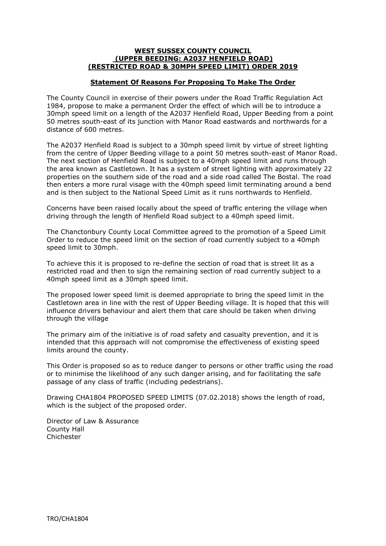#### **WEST SUSSEX COUNTY COUNCIL (UPPER BEEDING: A2037 HENFIELD ROAD) (RESTRICTED ROAD & 30MPH SPEED LIMIT) ORDER 2019**

### **Statement Of Reasons For Proposing To Make The Order**

The County Council in exercise of their powers under the Road Traffic Regulation Act 1984, propose to make a permanent Order the effect of which will be to introduce a 30mph speed limit on a length of the A2037 Henfield Road, Upper Beeding from a point 50 metres south-east of its junction with Manor Road eastwards and northwards for a distance of 600 metres.

The A2037 Henfield Road is subject to a 30mph speed limit by virtue of street lighting from the centre of Upper Beeding village to a point 50 metres south-east of Manor Road. The next section of Henfield Road is subject to a 40mph speed limit and runs through the area known as Castletown. It has a system of street lighting with approximately 22 properties on the southern side of the road and a side road called The Bostal. The road then enters a more rural visage with the 40mph speed limit terminating around a bend and is then subject to the National Speed Limit as it runs northwards to Henfield.

Concerns have been raised locally about the speed of traffic entering the village when driving through the length of Henfield Road subject to a 40mph speed limit.

The Chanctonbury County Local Committee agreed to the promotion of a Speed Limit Order to reduce the speed limit on the section of road currently subject to a 40mph speed limit to 30mph.

To achieve this it is proposed to re-define the section of road that is street lit as a restricted road and then to sign the remaining section of road currently subject to a 40mph speed limit as a 30mph speed limit.

The proposed lower speed limit is deemed appropriate to bring the speed limit in the Castletown area in line with the rest of Upper Beeding village. It is hoped that this will influence drivers behaviour and alert them that care should be taken when driving through the village

The primary aim of the initiative is of road safety and casualty prevention, and it is intended that this approach will not compromise the effectiveness of existing speed limits around the county.

This Order is proposed so as to reduce danger to persons or other traffic using the road or to minimise the likelihood of any such danger arising, and for facilitating the safe passage of any class of traffic (including pedestrians).

Drawing CHA1804 PROPOSED SPEED LIMITS (07.02.2018) shows the length of road, which is the subject of the proposed order.

Director of Law & Assurance County Hall Chichester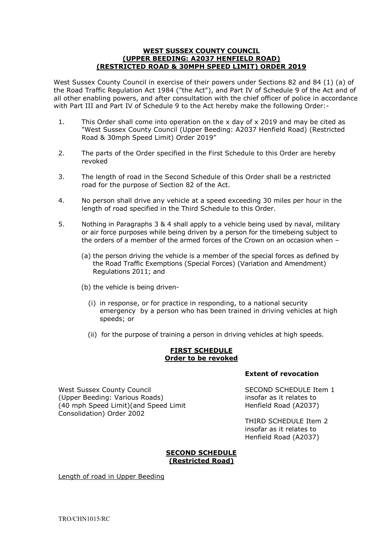#### **WEST SUSSEX COUNTY COUNCIL (UPPER BEEDING: A2037 HENFIELD ROAD) (RESTRICTED ROAD & 30MPH SPEED LIMIT) ORDER 2019**

West Sussex County Council in exercise of their powers under Sections 82 and 84 (1) (a) of the Road Traffic Regulation Act 1984 ("the Act"), and Part IV of Schedule 9 of the Act and of all other enabling powers, and after consultation with the chief officer of police in accordance with Part III and Part IV of Schedule 9 to the Act hereby make the following Order:-

- 1. This Order shall come into operation on the x day of x 2019 and may be cited as "West Sussex County Council (Upper Beeding: A2037 Henfield Road) (Restricted Road & 30mph Speed Limit) Order 2019"
- 2. The parts of the Order specified in the First Schedule to this Order are hereby revoked
- 3. The length of road in the Second Schedule of this Order shall be a restricted road for the purpose of Section 82 of the Act.
- 4. No person shall drive any vehicle at a speed exceeding 30 miles per hour in the length of road specified in the Third Schedule to this Order.
- 5. Nothing in Paragraphs 3 & 4 shall apply to a vehicle being used by naval, military or air force purposes while being driven by a person for the timebeing subject to the orders of a member of the armed forces of the Crown on an occasion when –
	- (a) the person driving the vehicle is a member of the special forces as defined by the Road Traffic Exemptions (Special Forces) (Variation and Amendment) Regulations 2011; and
	- (b) the vehicle is being driven-
		- (i) in response, or for practice in responding, to a national security emergency by a person who has been trained in driving vehicles at high speeds; or
		- (ii) for the purpose of training a person in driving vehicles at high speeds.

#### **FIRST SCHEDULE Order to be revoked**

West Sussex County Council and SECOND SCHEDULE Item 1 (Upper Beeding: Various Roads) insofar as it relates to (40 mph Speed Limit)(and Speed Limit Henfield Road (A2037) Consolidation) Order 2002

#### **Extent of revocation**

 THIRD SCHEDULE Item 2 insofar as it relates to Henfield Road (A2037)

### **SECOND SCHEDULE (Restricted Road)**

Length of road in Upper Beeding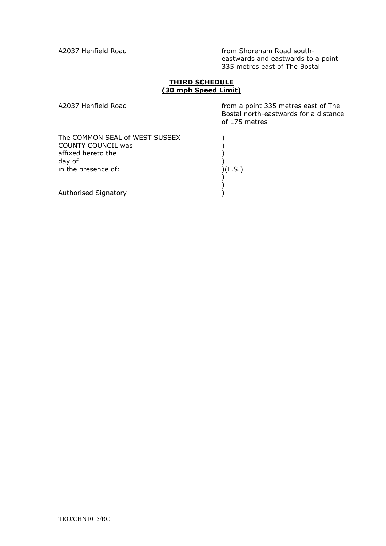A2037 Henfield Road **from Shoreham Road south**eastwards and eastwards to a point 335 metres east of The Bostal

#### **THIRD SCHEDULE (30 mph Speed Limit)**

A2037 Henfield Road **from a point 335 metres east of The** Bostal north-eastwards for a distance of 175 metres

The COMMON SEAL of WEST SUSSEX  $)$ COUNTY COUNCIL was (affixed hereto the ) affixed hereto the  $\begin{pmatrix} 1 & 1 \\ 0 & 1 \end{pmatrix}$ day of  $\left( \begin{array}{ccc} 0 & 0 & 0 \\ 0 & 0 & 0 \\ 0 & 0 & 0 \\ 0 & 0 & 0 \end{array} \right)$  (L.S.) in the presence of: ) ) erative (1999)<br>Authorised Signatory (1999)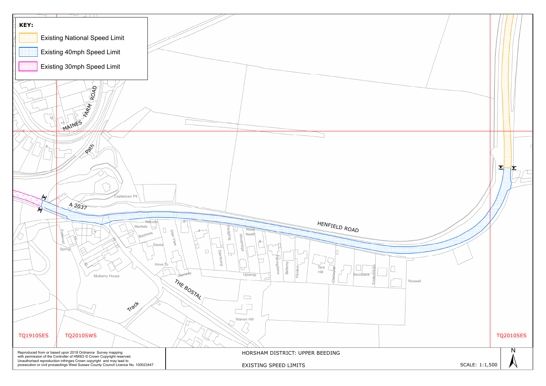